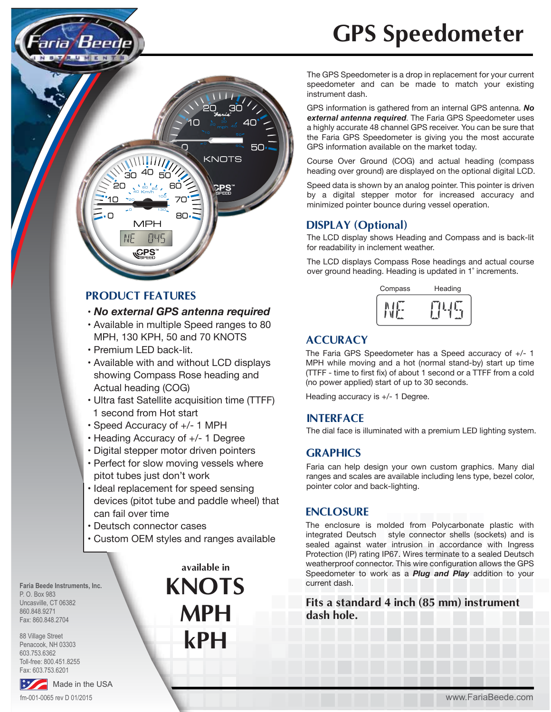

## **PRODUCT FEATURES**

#### • *No external GPS antenna required*

- Available in multiple Speed ranges to 80 MPH, 130 KPH, 50 and 70 KNOTS
- Premium LED back-lit.
- Available with and without LCD displays showing Compass Rose heading and Actual heading (COG)
- Ultra fast Satellite acquisition time (TTFF) 1 second from Hot start
- Speed Accuracy of +/- 1 MPH
- Heading Accuracy of +/- 1 Degree
- Digital stepper motor driven pointers
- Perfect for slow moving vessels where pitot tubes just don't work
- Ideal replacement for speed sensing devices (pitot tube and paddle wheel) that can fail over time
- Deutsch connector cases
- Custom OEM styles and ranges available

**Faria Beede Instruments, Inc.** P. O. Box 983 Uncasville, CT 06382 860.848.9271 Fax: 860.848.2704

88 Village Street Penacook, NH 03303 603.753.6362 Toll-free: 800.451.8255 Fax: 603.753.6201

### Made in the USA fm-001-0065 rev D 01/2015

**KNOTS MPH kPH available in**

# **GPS Speedometer**

The GPS Speedometer is a drop in replacement for your current speedometer and can be made to match your existing instrument dash.

GPS information is gathered from an internal GPS antenna. *No external antenna required*. The Faria GPS Speedometer uses a highly accurate 48 channel GPS receiver. You can be sure that the Faria GPS Speedometer is giving you the most accurate GPS information available on the market today.

Course Over Ground (COG) and actual heading (compass heading over ground) are displayed on the optional digital LCD.

Speed data is shown by an analog pointer. This pointer is driven by a digital stepper motor for increased accuracy and minimized pointer bounce during vessel operation.

#### **DISPLAY (Optional)**

The LCD display shows Heading and Compass and is back-lit for readability in inclement weather.

The LCD displays Compass Rose headings and actual course over ground heading. Heading is updated in 1˚ increments.

| Compass | Heading |
|---------|---------|
|         |         |

# **ACCURACY**

The Faria GPS Speedometer has a Speed accuracy of +/- 1 MPH while moving and a hot (normal stand-by) start up time (TTFF - time to first fix) of about 1 second or a TTFF from a cold (no power applied) start of up to 30 seconds.

Heading accuracy is +/- 1 Degree.

#### **INTERFACE**

The dial face is illuminated with a premium LED lighting system.

#### **GRAPHICS**

Faria can help design your own custom graphics. Many dial ranges and scales are available including lens type, bezel color, pointer color and back-lighting.

#### **ENCLOSURE**

The enclosure is molded from Polycarbonate plastic with integrated Deutsch style connector shells (sockets) and is sealed against water intrusion in accordance with Ingress Protection (IP) rating IP67. Wires terminate to a sealed Deutsch weatherproof connector. This wire configuration allows the GPS Speedometer to work as a *Plug and Play* addition to your current dash.

**Fits a standard 4 inch (85 mm) instrument dash hole.**